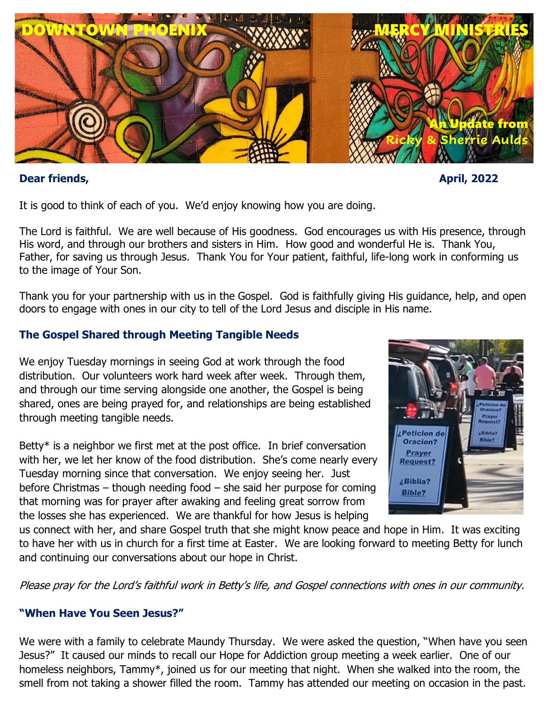

## **Dear friends, April, 2022**

It is good to think of each of you. We'd enjoy knowing how you are doing.

The Lord is faithful. We are well because of His goodness. God encourages us with His presence, through His word, and through our brothers and sisters in Him. How good and wonderful He is. Thank You, Father, for saving us through Jesus. Thank You for Your patient, faithful, life-long work in conforming us to the image of Your Son.

Thank you for your partnership with us in the Gospel. God is faithfully giving His guidance, help, and open doors to engage with ones in our city to tell of the Lord Jesus and disciple in His name.

# **The Gospel Shared through Meeting Tangible Needs**

We enjoy Tuesday mornings in seeing God at work through the food distribution. Our volunteers work hard week after week. Through them, and through our time serving alongside one another, the Gospel is being shared, ones are being prayed for, and relationships are being established through meeting tangible needs.

Betty\* is a neighbor we first met at the post office. In brief conversation with her, we let her know of the food distribution. She's come nearly every Tuesday morning since that conversation. We enjoy seeing her. Just before Christmas – though needing food – she said her purpose for coming that morning was for prayer after awaking and feeling great sorrow from the losses she has experienced. We are thankful for how Jesus is helping



us connect with her, and share Gospel truth that she might know peace and hope in Him. It was exciting to have her with us in church for a first time at Easter. We are looking forward to meeting Betty for lunch and continuing our conversations about our hope in Christ.

Please pray for the Lord's faithful work in Betty's life, and Gospel connections with ones in our community.

# **"When Have You Seen Jesus?"**

We were with a family to celebrate Maundy Thursday. We were asked the question, "When have you seen Jesus?" It caused our minds to recall our Hope for Addiction group meeting a week earlier. One of our homeless neighbors, Tammy\*, joined us for our meeting that night. When she walked into the room, the smell from not taking a shower filled the room. Tammy has attended our meeting on occasion in the past.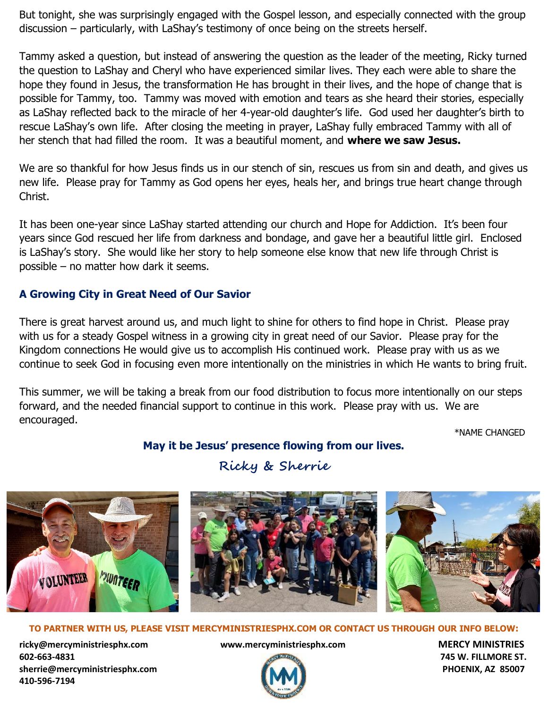But tonight, she was surprisingly engaged with the Gospel lesson, and especially connected with the group discussion – particularly, with LaShay's testimony of once being on the streets herself.

Tammy asked a question, but instead of answering the question as the leader of the meeting, Ricky turned the question to LaShay and Cheryl who have experienced similar lives. They each were able to share the hope they found in Jesus, the transformation He has brought in their lives, and the hope of change that is possible for Tammy, too. Tammy was moved with emotion and tears as she heard their stories, especially as LaShay reflected back to the miracle of her 4-year-old daughter's life. God used her daughter's birth to rescue LaShay's own life. After closing the meeting in prayer, LaShay fully embraced Tammy with all of her stench that had filled the room. It was a beautiful moment, and **where we saw Jesus.**

We are so thankful for how Jesus finds us in our stench of sin, rescues us from sin and death, and gives us new life. Please pray for Tammy as God opens her eyes, heals her, and brings true heart change through Christ.

It has been one-year since LaShay started attending our church and Hope for Addiction. It's been four years since God rescued her life from darkness and bondage, and gave her a beautiful little girl. Enclosed is LaShay's story. She would like her story to help someone else know that new life through Christ is possible – no matter how dark it seems.

# **A Growing City in Great Need of Our Savior**

There is great harvest around us, and much light to shine for others to find hope in Christ. Please pray with us for a steady Gospel witness in a growing city in great need of our Savior. Please pray for the Kingdom connections He would give us to accomplish His continued work. Please pray with us as we continue to seek God in focusing even more intentionally on the ministries in which He wants to bring fruit.

This summer, we will be taking a break from our food distribution to focus more intentionally on our steps forward, and the needed financial support to continue in this work. Please pray with us. We are encouraged.

\*NAME CHANGED

# **May it be Jesus' presence flowing from our lives.**

# **Ricky & Sherrie**



### **TO PARTNER WITH US, PLEASE VISIT MERCYMINISTRIESPHX.COM OR CONTACT US THROUGH OUR INFO BELOW:**

**[ricky@mercyministriesphx.com](mailto:ricky@mercyministriesphx.com) www.mercyministriesphx.com MERCY MINISTRIES 602-663-4831 745 W. FILLMORE ST. [sherrie@mercyministriesphx.com](mailto:sherrie@mercyministriesphx.com) PHOENIX, AZ 85007 410-596-7194**

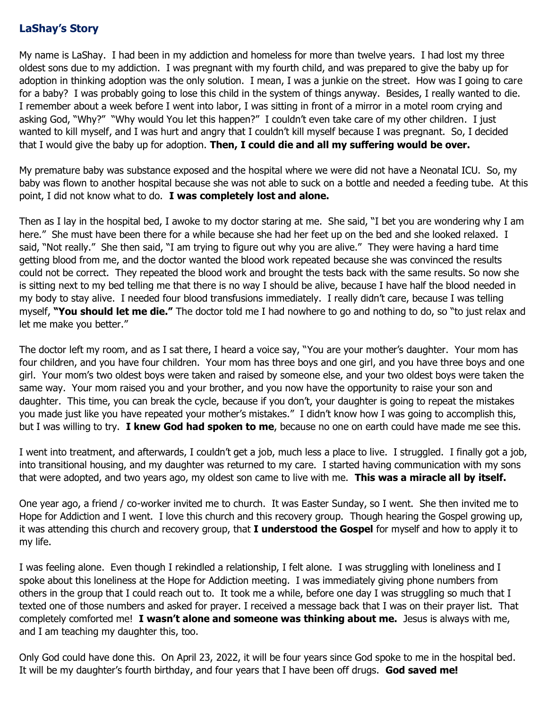## **LaShay's Story**

My name is LaShay. I had been in my addiction and homeless for more than twelve years. I had lost my three oldest sons due to my addiction. I was pregnant with my fourth child, and was prepared to give the baby up for adoption in thinking adoption was the only solution. I mean, I was a junkie on the street. How was I going to care for a baby? I was probably going to lose this child in the system of things anyway. Besides, I really wanted to die. I remember about a week before I went into labor, I was sitting in front of a mirror in a motel room crying and asking God, "Why?" "Why would You let this happen?" I couldn't even take care of my other children. I just wanted to kill myself, and I was hurt and angry that I couldn't kill myself because I was pregnant. So, I decided that I would give the baby up for adoption. **Then, I could die and all my suffering would be over.**

My premature baby was substance exposed and the hospital where we were did not have a Neonatal ICU. So, my baby was flown to another hospital because she was not able to suck on a bottle and needed a feeding tube. At this point, I did not know what to do. **I was completely lost and alone.**

Then as I lay in the hospital bed, I awoke to my doctor staring at me. She said, "I bet you are wondering why I am here." She must have been there for a while because she had her feet up on the bed and she looked relaxed. I said, "Not really." She then said, "I am trying to figure out why you are alive." They were having a hard time getting blood from me, and the doctor wanted the blood work repeated because she was convinced the results could not be correct. They repeated the blood work and brought the tests back with the same results. So now she is sitting next to my bed telling me that there is no way I should be alive, because I have half the blood needed in my body to stay alive. I needed four blood transfusions immediately. I really didn't care, because I was telling myself, **"You should let me die."** The doctor told me I had nowhere to go and nothing to do, so "to just relax and let me make you better."

The doctor left my room, and as I sat there, I heard a voice say, "You are your mother's daughter. Your mom has four children, and you have four children. Your mom has three boys and one girl, and you have three boys and one girl. Your mom's two oldest boys were taken and raised by someone else, and your two oldest boys were taken the same way. Your mom raised you and your brother, and you now have the opportunity to raise your son and daughter. This time, you can break the cycle, because if you don't, your daughter is going to repeat the mistakes you made just like you have repeated your mother's mistakes." I didn't know how I was going to accomplish this, but I was willing to try. **I knew God had spoken to me**, because no one on earth could have made me see this.

I went into treatment, and afterwards, I couldn't get a job, much less a place to live. I struggled. I finally got a job, into transitional housing, and my daughter was returned to my care. I started having communication with my sons that were adopted, and two years ago, my oldest son came to live with me. **This was a miracle all by itself.**

One year ago, a friend / co-worker invited me to church. It was Easter Sunday, so I went. She then invited me to Hope for Addiction and I went. I love this church and this recovery group. Though hearing the Gospel growing up, it was attending this church and recovery group, that **I understood the Gospel** for myself and how to apply it to my life.

I was feeling alone. Even though I rekindled a relationship, I felt alone. I was struggling with loneliness and I spoke about this loneliness at the Hope for Addiction meeting. I was immediately giving phone numbers from others in the group that I could reach out to. It took me a while, before one day I was struggling so much that I texted one of those numbers and asked for prayer. I received a message back that I was on their prayer list. That completely comforted me! **I wasn't alone and someone was thinking about me.** Jesus is always with me, and I am teaching my daughter this, too.

Only God could have done this. On April 23, 2022, it will be four years since God spoke to me in the hospital bed. It will be my daughter's fourth birthday, and four years that I have been off drugs. **God saved me!**